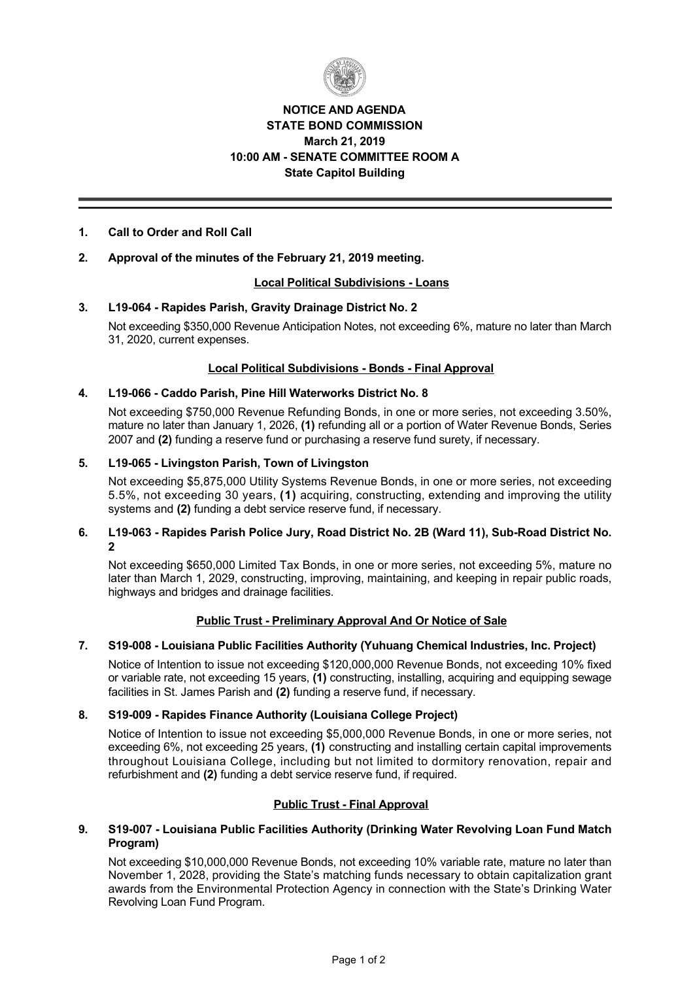

# **NOTICE AND AGENDA STATE BOND COMMISSION March 21, 2019 10:00 AM SENATE COMMITTEE ROOM A State Capitol Building**

# **1. Call to Order and Roll Call**

# **2. Approval of the minutes of the February 21, 2019 meeting.**

## **Local Political Subdivisions Loans**

## **3. L19064 Rapides Parish, Gravity Drainage District No. 2**

Not exceeding \$350,000 Revenue Anticipation Notes, not exceeding 6%, mature no later than March 31, 2020, current expenses.

## **Local Political Subdivisions - Bonds - Final Approval**

## **4. L19066 Caddo Parish, Pine Hill Waterworks District No. 8**

Not exceeding \$750,000 Revenue Refunding Bonds, in one or more series, not exceeding 3.50%, mature no later than January 1, 2026, **(1)** refunding all or a portion of Water Revenue Bonds, Series 2007 and **(2)** funding a reserve fund or purchasing a reserve fund surety, if necessary.

## 5. L19-065 - Livingston Parish, Town of Livingston

Not exceeding \$5,875,000 Utility Systems Revenue Bonds, in one or more series, not exceeding 5.5%, not exceeding 30 years, **(1)** acquiring, constructing, extending and improving the utility systems and **(2)** funding a debt service reserve fund, if necessary.

## 6. L19-063 - Rapides Parish Police Jury, Road District No. 2B (Ward 11), Sub-Road District No. **2**

Not exceeding \$650,000 Limited Tax Bonds, in one or more series, not exceeding 5%, mature no later than March 1, 2029, constructing, improving, maintaining, and keeping in repair public roads, highways and bridges and drainage facilities.

## **Public Trust Preliminary Approval And Or Notice of Sale**

# **7. S19008 Louisiana Public Facilities Authority (Yuhuang Chemical Industries, Inc. Project)**

Notice of Intention to issue not exceeding \$120,000,000 Revenue Bonds, not exceeding 10% fixed or variable rate, not exceeding 15 years, **(1)** constructing, installing, acquiring and equipping sewage facilities in St. James Parish and **(2)** funding a reserve fund, if necessary.

#### **8. S19009 Rapides Finance Authority (Louisiana College Project)**

Notice of Intention to issue not exceeding \$5,000,000 Revenue Bonds, in one or more series, not exceeding 6%, not exceeding 25 years, **(1)** constructing and installing certain capital improvements throughout Louisiana College, including but not limited to dormitory renovation, repair and refurbishment and **(2)** funding a debt service reserve fund, if required.

## **Public Trust - Final Approval**

## **9. S19007 Louisiana Public Facilities Authority (Drinking Water Revolving Loan Fund Match Program)**

Not exceeding \$10,000,000 Revenue Bonds, not exceeding 10% variable rate, mature no later than November 1, 2028, providing the State's matching funds necessary to obtain capitalization grant awards from the Environmental Protection Agency in connection with the State's Drinking Water Revolving Loan Fund Program.